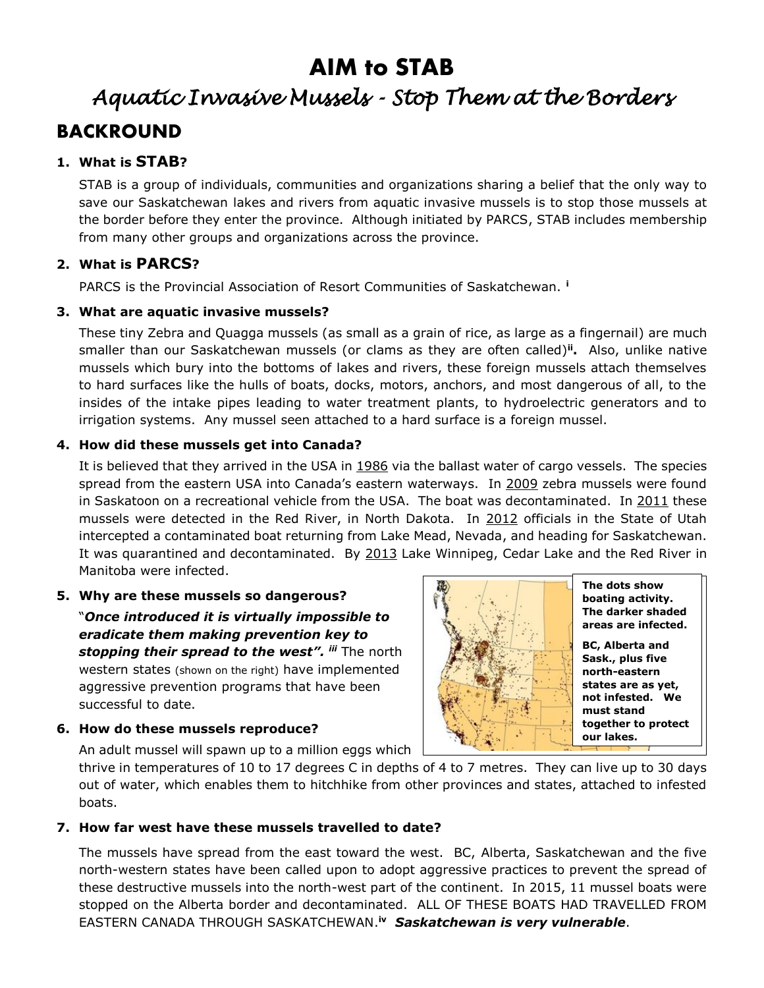# **AIM to STAB**

# *Aquatic Invasive Mussels - Stop Them at the Borders*  **BACKROUND**

### **1. What is STAB?**

STAB is a group of individuals, communities and organizations sharing a belief that the only way to save our Saskatchewan lakes and rivers from aquatic invasive mussels is to stop those mussels at the border before they enter the province. Although initiated by PARCS, STAB includes membership from many other groups and organizations across the province.

#### **2. What is PARCS?**

PARCS is the Provincial Association of Resort Communities of Saskatchewan. **<sup>i</sup>**

#### **3. What are aquatic invasive mussels?**

These tiny Zebra and Quagga mussels (as small as a grain of rice, as large as a fingernail) are much smaller than our Saskatchewan mussels (or clams as they are often called)**ii .** Also, unlike native mussels which bury into the bottoms of lakes and rivers, these foreign mussels attach themselves to hard surfaces like the hulls of boats, docks, motors, anchors, and most dangerous of all, to the insides of the intake pipes leading to water treatment plants, to hydroelectric generators and to irrigation systems. Any mussel seen attached to a hard surface is a foreign mussel.

#### **4. How did these mussels get into Canada?**

It is believed that they arrived in the USA in 1986 via the ballast water of cargo vessels. The species spread from the eastern USA into Canada's eastern waterways. In 2009 zebra mussels were found in Saskatoon on a recreational vehicle from the USA. The boat was decontaminated. In 2011 these mussels were detected in the Red River, in North Dakota. In 2012 officials in the State of Utah intercepted a contaminated boat returning from Lake Mead, Nevada, and heading for Saskatchewan. It was quarantined and decontaminated. By 2013 Lake Winnipeg, Cedar Lake and the Red River in Manitoba were infected.

#### **5. Why are these mussels so dangerous?**

"*Once introduced it is virtually impossible to eradicate them making prevention key to stopping their spread to the west". iii* The north western states (shown on the right) have implemented aggressive prevention programs that have been successful to date.



#### **6. How do these mussels reproduce?**

An adult mussel will spawn up to a million eggs which

thrive in temperatures of 10 to 17 degrees C in depths of 4 to 7 metres. They can live up to 30 days out of water, which enables them to hitchhike from other provinces and states, attached to infested boats.

#### **7. How far west have these mussels travelled to date?**

The mussels have spread from the east toward the west. BC, Alberta, Saskatchewan and the five north-western states have been called upon to adopt aggressive practices to prevent the spread of these destructive mussels into the north-west part of the continent. In 2015, 11 mussel boats were stopped on the Alberta border and decontaminated. ALL OF THESE BOATS HAD TRAVELLED FROM EASTERN CANADA THROUGH SASKATCHEWAN. **iv** *Saskatchewan is very vulnerable*.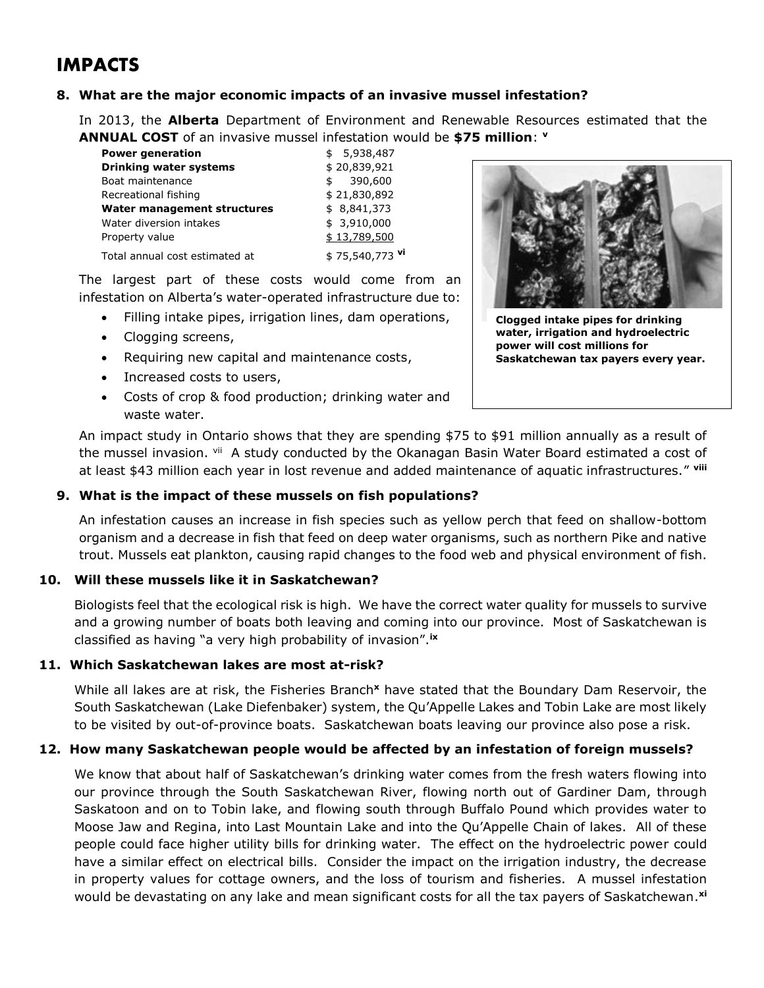### **IMPACTS**

#### **8. What are the major economic impacts of an invasive mussel infestation?**

In 2013, the **Alberta** Department of Environment and Renewable Resources estimated that the **ANNUAL COST** of an invasive mussel infestation would be **\$75 million**: **v**

| <b>Power generation</b>        | \$5,938,487     |
|--------------------------------|-----------------|
| <b>Drinking water systems</b>  | \$20,839,921    |
| Boat maintenance               | 390,600<br>\$   |
| Recreational fishing           | \$21,830,892    |
| Water management structures    | \$8,841,373     |
| Water diversion intakes        | \$3,910,000     |
| Property value                 | \$13,789,500    |
| Total annual cost estimated at | \$75,540,773 vi |

The largest part of these costs would come from an infestation on Alberta's water-operated infrastructure due to:

- Filling intake pipes, irrigation lines, dam operations,
- Clogging screens,
- Requiring new capital and maintenance costs,
- Increased costs to users,
- Costs of crop & food production; drinking water and waste water.



**Clogged intake pipes for drinking water, irrigation and hydroelectric power will cost millions for Saskatchewan tax payers every year.**

An impact study in Ontario shows that they are spending \$75 to \$91 million annually as a result of the mussel invasion. <sup>vii</sup> A study conducted by the Okanagan Basin Water Board estimated a cost of at least \$43 million each year in lost revenue and added maintenance of aquatic infrastructures." **viii**

#### **9. What is the impact of these mussels on fish populations?**

An infestation causes an increase in fish species such as yellow perch that feed on shallow-bottom organism and a decrease in fish that feed on deep water organisms, such as northern Pike and native trout. Mussels eat plankton, causing rapid changes to the food web and physical environment of fish.

#### **10. Will these mussels like it in Saskatchewan?**

Biologists feel that the ecological risk is high. We have the correct water quality for mussels to survive and a growing number of boats both leaving and coming into our province. Most of Saskatchewan is classified as having "a very high probability of invasion".**ix**

#### **11. Which Saskatchewan lakes are most at-risk?**

While all lakes are at risk, the Fisheries Branch**<sup>x</sup>** have stated that the Boundary Dam Reservoir, the South Saskatchewan (Lake Diefenbaker) system, the Qu'Appelle Lakes and Tobin Lake are most likely to be visited by out-of-province boats. Saskatchewan boats leaving our province also pose a risk.

#### **12. How many Saskatchewan people would be affected by an infestation of foreign mussels?**

We know that about half of Saskatchewan's drinking water comes from the fresh waters flowing into our province through the South Saskatchewan River, flowing north out of Gardiner Dam, through Saskatoon and on to Tobin lake, and flowing south through Buffalo Pound which provides water to Moose Jaw and Regina, into Last Mountain Lake and into the Qu'Appelle Chain of lakes. All of these people could face higher utility bills for drinking water. The effect on the hydroelectric power could have a similar effect on electrical bills. Consider the impact on the irrigation industry, the decrease in property values for cottage owners, and the loss of tourism and fisheries. A mussel infestation would be devastating on any lake and mean significant costs for all the tax payers of Saskatchewan. **xi**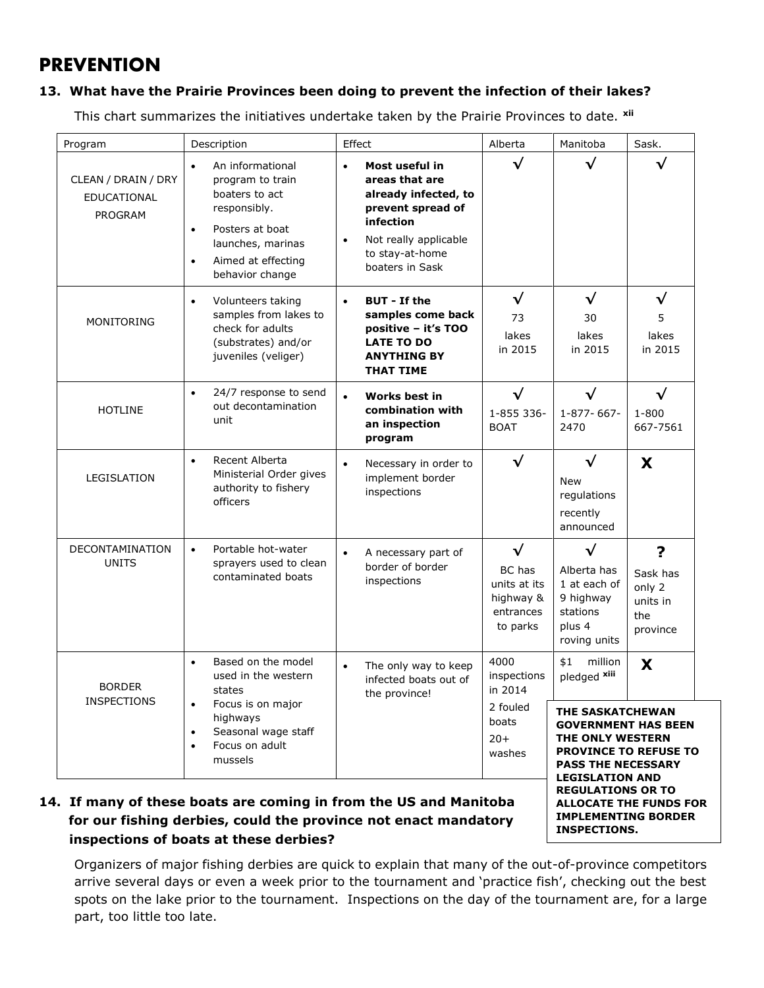### **PREVENTION**

#### **13. What have the Prairie Provinces been doing to prevent the infection of their lakes?**

This chart summarizes the initiatives undertake taken by the Prairie Provinces to date. **xii**

| Program                                              | Description                                                                                                                                                                    | Effect                 |                                                                                                                                                           | Alberta                                                                   | Manitoba                                                                                                                                                                              | Sask.                                                  |
|------------------------------------------------------|--------------------------------------------------------------------------------------------------------------------------------------------------------------------------------|------------------------|-----------------------------------------------------------------------------------------------------------------------------------------------------------|---------------------------------------------------------------------------|---------------------------------------------------------------------------------------------------------------------------------------------------------------------------------------|--------------------------------------------------------|
| CLEAN / DRAIN / DRY<br><b>EDUCATIONAL</b><br>PROGRAM | An informational<br>٠<br>program to train<br>boaters to act<br>responsibly.<br>Posters at boat<br>$\bullet$<br>launches, marinas<br>Aimed at effecting<br>٠<br>behavior change | $\bullet$<br>$\bullet$ | Most useful in<br>areas that are<br>already infected, to<br>prevent spread of<br>infection<br>Not really applicable<br>to stay-at-home<br>boaters in Sask | √                                                                         | √                                                                                                                                                                                     | √                                                      |
| MONITORING                                           | Volunteers taking<br>$\bullet$<br>samples from lakes to<br>check for adults<br>(substrates) and/or<br>juveniles (veliger)                                                      | $\bullet$              | <b>BUT</b> - If the<br>samples come back<br>positive - it's TOO<br><b>LATE TO DO</b><br><b>ANYTHING BY</b><br><b>THAT TIME</b>                            | $\sqrt{}$<br>73<br>lakes<br>in 2015                                       | √<br>30<br>lakes<br>in 2015                                                                                                                                                           | $\checkmark$<br>5<br>lakes<br>in 2015                  |
| <b>HOTLINE</b>                                       | 24/7 response to send<br>$\bullet$<br>out decontamination<br>unit                                                                                                              | $\bullet$              | Works best in<br>combination with<br>an inspection<br>program                                                                                             | $\checkmark$<br>1-855 336-<br><b>BOAT</b>                                 | $\checkmark$<br>1-877-667-<br>2470                                                                                                                                                    | $\checkmark$<br>$1 - 800$<br>667-7561                  |
| LEGISLATION                                          | Recent Alberta<br>$\bullet$<br>Ministerial Order gives<br>authority to fishery<br>officers                                                                                     | $\bullet$              | Necessary in order to<br>implement border<br>inspections                                                                                                  | $\checkmark$                                                              | √<br><b>New</b><br>regulations<br>recently<br>announced                                                                                                                               | X                                                      |
| DECONTAMINATION<br><b>UNITS</b>                      | Portable hot-water<br>$\bullet$<br>sprayers used to clean<br>contaminated boats                                                                                                | $\bullet$              | A necessary part of<br>border of border<br>inspections                                                                                                    | $\sqrt{}$<br>BC has<br>units at its<br>highway &<br>entrances<br>to parks | $\checkmark$<br>Alberta has<br>1 at each of<br>9 highway<br>stations<br>plus 4<br>roving units                                                                                        | ?<br>Sask has<br>only 2<br>units in<br>the<br>province |
| <b>BORDER</b><br><b>INSPECTIONS</b>                  | Based on the model<br>٠<br>used in the western<br>states<br>Focus is on major<br>٠<br>highways<br>Seasonal wage staff<br>٠<br>Focus on adult<br>٠<br>mussels                   | $\bullet$              | The only way to keep<br>infected boats out of<br>the province!                                                                                            | 4000<br>inspections<br>in 2014                                            | \$1<br>million<br>pledged xiii                                                                                                                                                        | X                                                      |
|                                                      |                                                                                                                                                                                |                        |                                                                                                                                                           | 2 fouled<br>boats<br>$20+$<br>washes                                      | THE SASKATCHEWAN<br><b>GOVERNMENT HAS BEEN</b><br>THE ONLY WESTERN<br><b>PROVINCE TO REFUSE TO</b><br><b>PASS THE NECESSARY</b><br><b>LEGISLATION AND</b><br><b>REGULATIONS OR TO</b> |                                                        |

#### **14. If many of these boats are coming in from the US and Manitoba for our fishing derbies, could the province not enact mandatory inspections of boats at these derbies?**

Organizers of major fishing derbies are quick to explain that many of the out-of-province competitors arrive several days or even a week prior to the tournament and 'practice fish', checking out the best spots on the lake prior to the tournament. Inspections on the day of the tournament are, for a large part, too little too late.

**IMPLEMENTING BORDER** 

**INSPECTIONS.**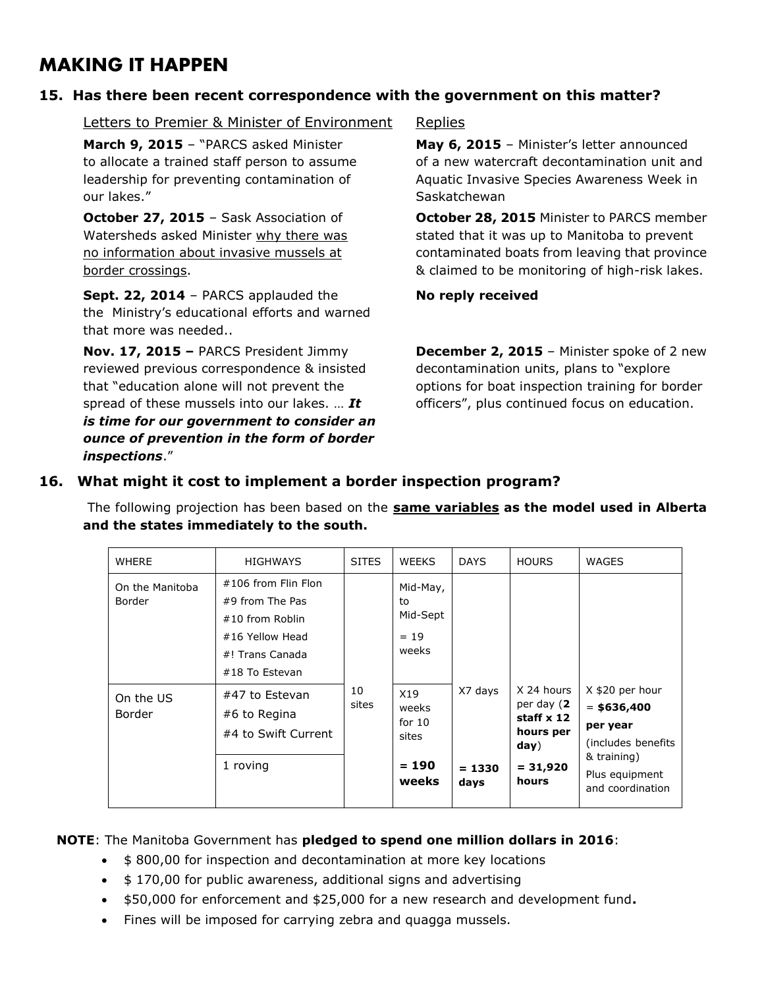### **MAKING IT HAPPEN**

#### **15. Has there been recent correspondence with the government on this matter?**

Letters to Premier & Minister of Environment Replies

**March 9, 2015** – "PARCS asked Minister **May 6, 2015** – Minister's letter announced our lakes." Saskatchewan by the state of the state of the state of the state of the state of the state of the s

**Sept. 22, 2014** – PARCS applauded the **No reply received** the Ministry's educational efforts and warned that more was needed..

**Nov. 17, 2015 –** PARCS President Jimmy **December 2, 2015** – Minister spoke of 2 new reviewed previous correspondence & insisted decontamination units, plans to "explore that "education alone will not prevent the options for boat inspection training for border spread of these mussels into our lakes. ... **It** officers", plus continued focus on education. *is time for our government to consider an ounce of prevention in the form of border inspections*."

to allocate a trained staff person to assume of a new watercraft decontamination unit and leadership for preventing contamination of Aquatic Invasive Species Awareness Week in

**October 27, 2015** – Sask Association of **October 28, 2015** Minister to PARCS member Watersheds asked Minister why there was stated that it was up to Manitoba to prevent no information about invasive mussels at contaminated boats from leaving that province border crossings. & claimed to be monitoring of high-risk lakes.

#### **16. What might it cost to implement a border inspection program?**

The following projection has been based on the **same variables as the model used in Alberta and the states immediately to the south.** 

| <b>WHERE</b>                     | <b>HIGHWAYS</b>                                                                                                   | <b>SITES</b> | <b>WEEKS</b>                                          | <b>DAYS</b>                 | <b>HOURS</b>                                                                       | WAGES                                                                                                                   |
|----------------------------------|-------------------------------------------------------------------------------------------------------------------|--------------|-------------------------------------------------------|-----------------------------|------------------------------------------------------------------------------------|-------------------------------------------------------------------------------------------------------------------------|
| On the Manitoba<br><b>Border</b> | #106 from Flin Flon<br>#9 from The Pas<br>#10 from Roblin<br>#16 Yellow Head<br>#! Trans Canada<br>#18 To Estevan |              | Mid-May,<br>to<br>Mid-Sept<br>$= 19$<br>weeks         |                             |                                                                                    |                                                                                                                         |
| On the US<br>Border              | #47 to Estevan<br>#6 to Regina<br>#4 to Swift Current<br>1 roving                                                 | 10<br>sites  | X19<br>weeks<br>for $10$<br>sites<br>$= 190$<br>weeks | X7 days<br>$= 1330$<br>days | X 24 hours<br>per day (2<br>staff x 12<br>hours per<br>day)<br>$= 31,920$<br>hours | X \$20 per hour<br>$=$ \$636,400<br>per year<br>(includes benefits<br>& training)<br>Plus equipment<br>and coordination |

**NOTE**: The Manitoba Government has **pledged to spend one million dollars in 2016**:

- $\bullet$  \$800,00 for inspection and decontamination at more key locations
- \$170,00 for public awareness, additional signs and advertising
- \$50,000 for enforcement and \$25,000 for a new research and development fund**.**
- Fines will be imposed for carrying zebra and quagga mussels.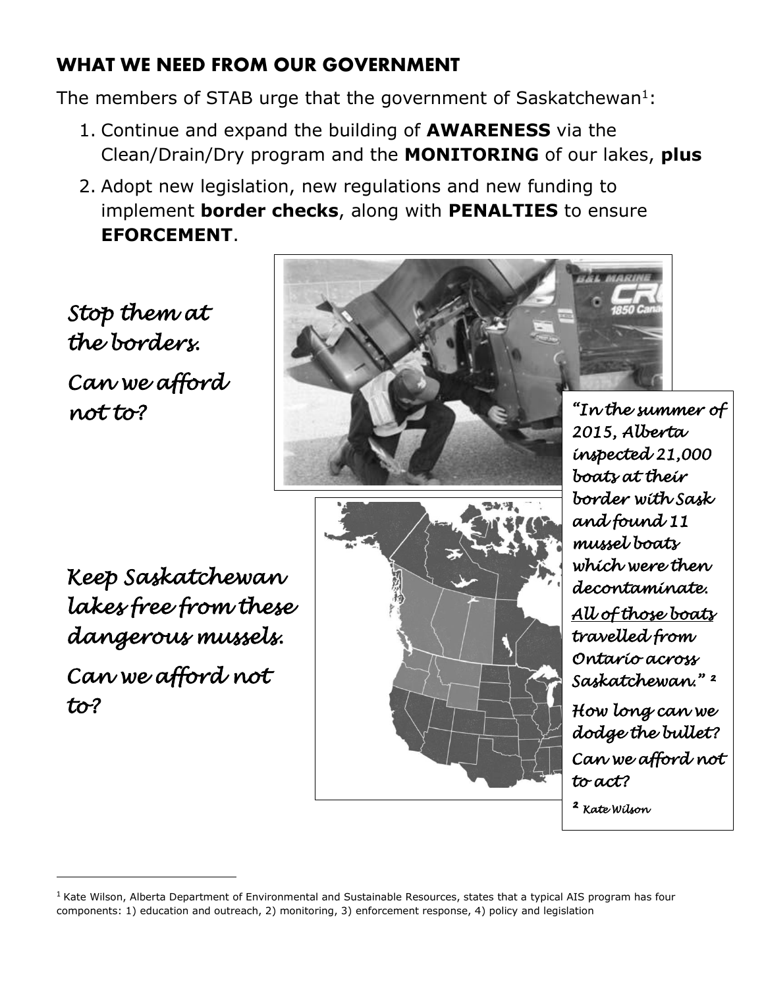## **WHAT WE NEED FROM OUR GOVERNMENT**

The members of STAB urge that the government of Saskatchewan<sup>1</sup>:

- 1. Continue and expand the building of **AWARENESS** via the Clean/Drain/Dry program and the **MONITORING** of our lakes, **plus**
- 2. Adopt new legislation, new regulations and new funding to implement **border checks**, along with **PENALTIES** to ensure **EFORCEMENT**.

*Stop them at the borders. Can we afford not to?*



*Keep Saskatchewan lakes free from these dangerous mussels. Can we afford not to?*

**.** 



*"In the summer of 2015, Alberta inspected 21,000 boats at their border with Sask and found 11 mussel boats which were then decontaminate. All of those boats travelled from Ontario across Saskatchewan." ²* 

*How long can we dodge the bullet? Can we afford not to act?* 

*² Kate Wilson* 

 $<sup>1</sup>$  Kate Wilson, Alberta Department of Environmental and Sustainable Resources, states that a typical AIS program has four</sup> components: 1) education and outreach, 2) monitoring, 3) enforcement response, 4) policy and legislation